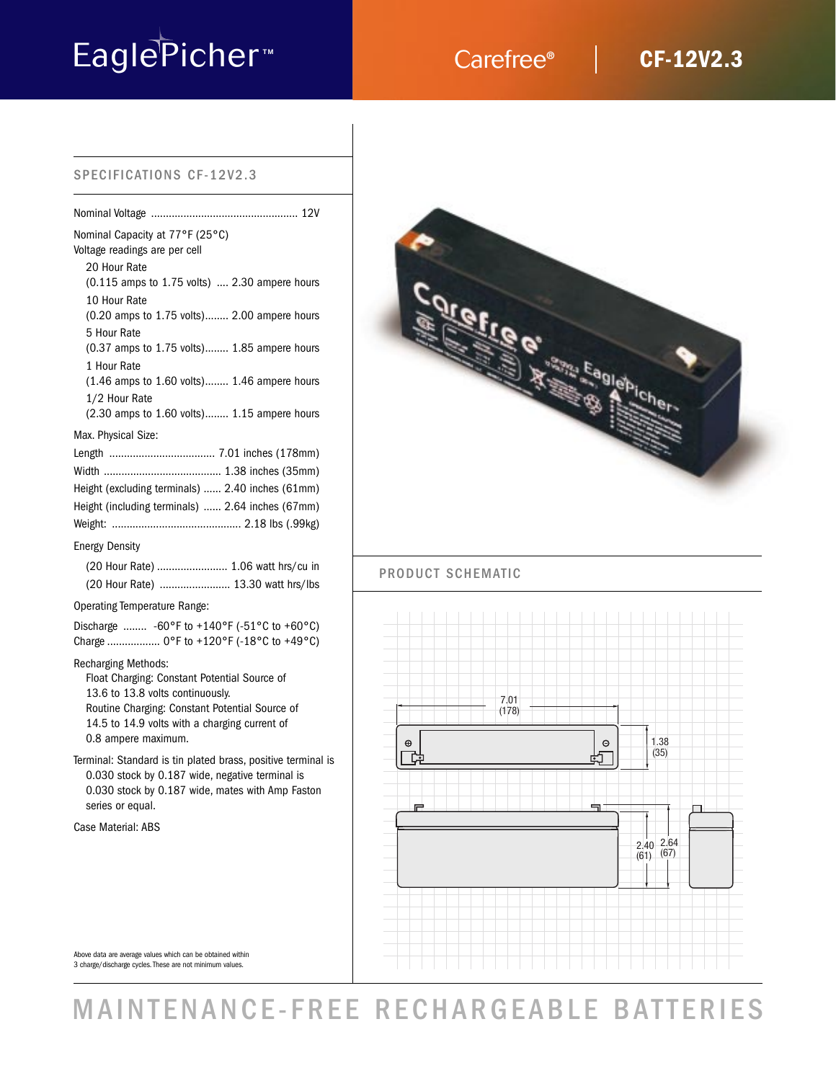# EaglePicher<sup>™</sup> Carefree®

## **CF-12V2.3**

## SPECIFICATIONS CF-12V2.3

| Nominal Capacity at 77°F (25°C)<br>Voltage readings are per cell                                                                                                                                                                         |
|------------------------------------------------------------------------------------------------------------------------------------------------------------------------------------------------------------------------------------------|
| 20 Hour Rate<br>(0.115 amps to 1.75 volts)  2.30 ampere hours                                                                                                                                                                            |
| 10 Hour Rate<br>(0.20 amps to 1.75 volts) 2.00 ampere hours                                                                                                                                                                              |
| 5 Hour Rate<br>(0.37 amps to 1.75 volts) 1.85 ampere hours<br>1 Hour Rate                                                                                                                                                                |
| (1.46 amps to 1.60 volts) 1.46 ampere hours<br>1/2 Hour Rate                                                                                                                                                                             |
| (2.30 amps to 1.60 volts) 1.15 ampere hours                                                                                                                                                                                              |
| Max. Physical Size:<br>Length  7.01 inches (178mm)                                                                                                                                                                                       |
| Height (excluding terminals)  2.40 inches (61mm)                                                                                                                                                                                         |
| Height (including terminals)  2.64 inches (67mm)                                                                                                                                                                                         |
|                                                                                                                                                                                                                                          |
| <b>Energy Density</b>                                                                                                                                                                                                                    |
| (20 Hour Rate)  1.06 watt hrs/cu in                                                                                                                                                                                                      |
| (20 Hour Rate)  13.30 watt hrs/lbs                                                                                                                                                                                                       |
| <b>Operating Temperature Range:</b>                                                                                                                                                                                                      |
| Discharge  -60°F to +140°F (-51°C to +60°C)<br>Charge  0°F to +120°F (-18°C to +49°C)                                                                                                                                                    |
| <b>Recharging Methods:</b><br>Float Charging: Constant Potential Source of<br>13.6 to 13.8 volts continuously.<br>Routine Charging: Constant Potential Source of<br>14.5 to 14.9 volts with a charging current of<br>0.8 ampere maximum. |
| Terminal: Standard is tin plated brass, positive terminal is<br>0.030 stock by 0.187 wide, negative terminal is<br>0.030 stock by 0.187 wide, mates with Amp Faston<br>series or equal.                                                  |

Case Material: ABS



## PRODUCT SCHEMATIC



### Above data are average values which can be obtained within 3 charge/discharge cycles. These are not minimum values.

## MAINTENANCE-FREE RECHARGEABLE BATTERIES